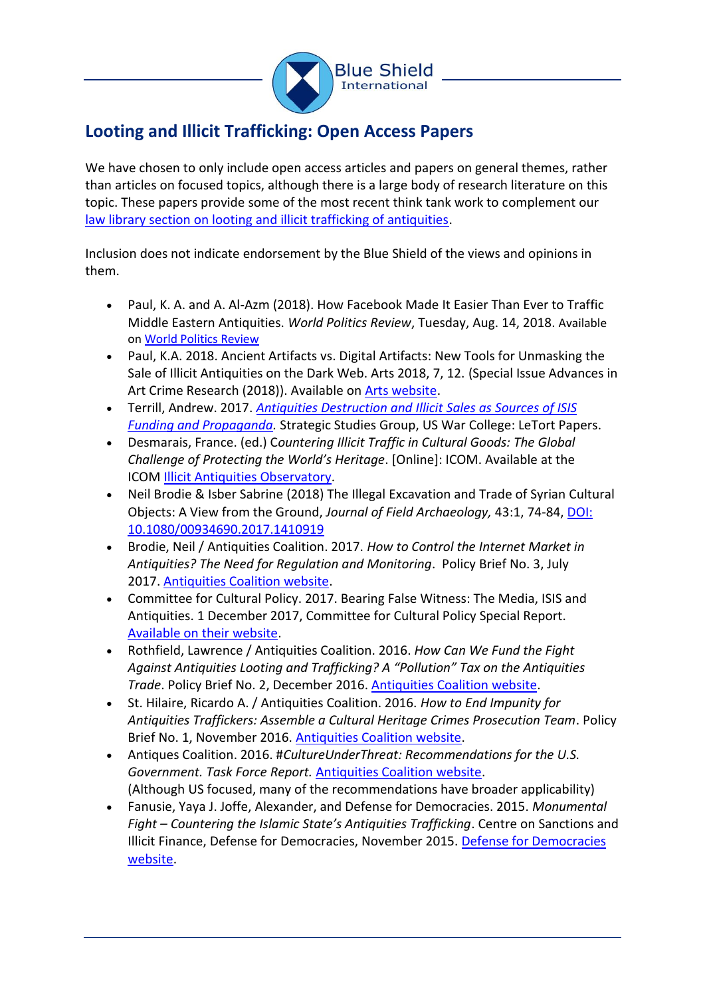

## **Looting and Illicit Trafficking: Open Access Papers**

We have chosen to only include open access articles and papers on general themes, rather than articles on focused topics, although there is a large body of research literature on this topic. These papers provide some of the most recent think tank work to complement our [law library section on looting and illicit trafficking of antiquities.](https://theblueshield.org/resources/documents/illicit-antiquities/)

Inclusion does not indicate endorsement by the Blue Shield of the views and opinions in them.

- Paul, K. A. and A. Al-Azm (2018). How Facebook Made It Easier Than Ever to Traffic Middle Eastern Antiquities. *World Politics Review*, Tuesday, Aug. 14, 2018. Available on [World Politics Review](https://www.worldpoliticsreview.com/articles/25532/how-facebook-made-it-easier-than-ever-to-traffic-middle-eastern-antiquities)
- Paul, K.A. 2018. Ancient Artifacts vs. Digital Artifacts: New Tools for Unmasking the Sale of Illicit Antiquities on the Dark Web. Arts 2018, 7, 12. (Special Issue Advances in Art Crime Research (2018)). Available on [Arts website.](https://www.mdpi.com/2076-0752/7/2/12)
- Terrill, Andrew. 2017. *[Antiquities Destruction and Illicit Sales as Sources of ISIS](https://ssi.armywarcollege.edu/pubs/display.cfm?pubID=1348)  [Funding and Propaganda.](https://ssi.armywarcollege.edu/pubs/display.cfm?pubID=1348)* Strategic Studies Group, US War College: LeTort Papers.
- Desmarais, France. (ed.) C*ountering Illicit Traffic in Cultural Goods: The Global Challenge of Protecting the World's Heritage*. [Online]: ICOM. Available at the ICOM [Illicit Antiquities Observatory.](https://issuu.com/internationalcouncilofmuseums/docs/book_observatory_illicit_traffic_ve)
- Neil Brodie & Isber Sabrine (2018) The Illegal Excavation and Trade of Syrian Cultural Objects: A View from the Ground, *Journal of Field Archaeology,* 43:1, 74-84, [DOI:](https://www.tandfonline.com/doi/abs/10.1080/00934690.2017.1410919)  [10.1080/00934690.2017.1410919](https://www.tandfonline.com/doi/abs/10.1080/00934690.2017.1410919)
- Brodie, Neil / Antiquities Coalition. 2017. *How to Control the Internet Market in Antiquities? The Need for Regulation and Monitoring*. Policy Brief No. 3, July 2017. [Antiquities Coalition website.](http://thinktank.theantiquitiescoalition.org/how-to-control-the-internet-market-in-antiquities-the-need-for-regulation-and-monitoring/)
- Committee for Cultural Policy. 2017. Bearing False Witness: The Media, ISIS and Antiquities. 1 December 2017, Committee for Cultural Policy Special Report. [Available on their website.](https://culturalpropertynews.org/bearing-false-witness-the-media-isis-and-antiquities/)
- Rothfield, Lawrence / Antiquities Coalition. 2016. *How Can We Fund the Fight Against Antiquities Looting and Trafficking? A "Pollution" Tax on the Antiquities Trade*. Policy Brief No. 2, December 2016. [Antiquities Coalition website.](http://thinktank.theantiquitiescoalition.org/how-can-we-fight-against-antiquities-looting-and-trafficking/)
- St. Hilaire, Ricardo A. / Antiquities Coalition. 2016. *How to End Impunity for Antiquities Traffickers: Assemble a Cultural Heritage Crimes Prosecution Team*. Policy Brief No. 1, November 2016. [Antiquities Coalition website.](http://thinktank.theantiquitiescoalition.org/ending-impunity-for-antiquities-traffickers/)
- Antiques Coalition. 2016. #*CultureUnderThreat: Recommendations for the U.S. Government. Task Force Report.* [Antiquities Coalition website.](http://taskforce.theantiquitiescoalition.org/) (Although US focused, many of the recommendations have broader applicability)
- Fanusie, Yaya J. Joffe, Alexander, and Defense for Democracies. 2015. *Monumental Fight – Countering the Islamic State's Antiquities Trafficking*. Centre on Sanctions and Illicit Finance, Defense for Democracies, November 2015. [Defense for Democracies](https://s3.us-east-2.amazonaws.com/defenddemocracy/uploads/documents/Monumental_Fight.pdf)  [website.](https://s3.us-east-2.amazonaws.com/defenddemocracy/uploads/documents/Monumental_Fight.pdf)